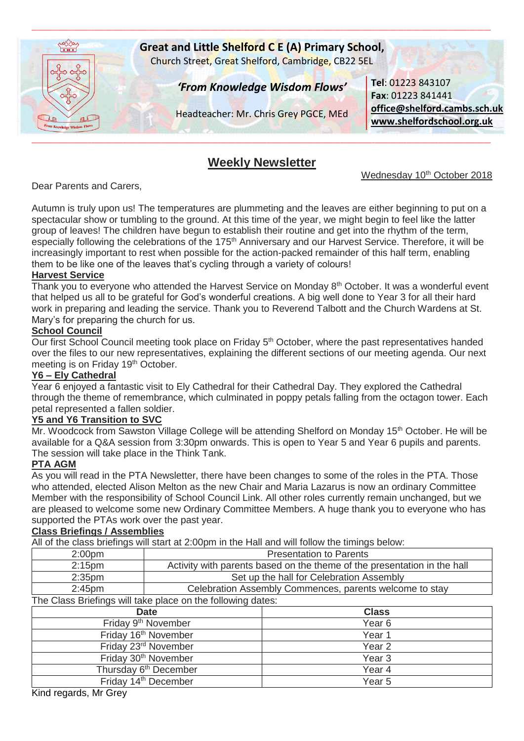

# **Weekly Newsletter**

Wednesday 10<sup>th</sup> October 2018

Dear Parents and Carers,

Autumn is truly upon us! The temperatures are plummeting and the leaves are either beginning to put on a spectacular show or tumbling to the ground. At this time of the year, we might begin to feel like the latter group of leaves! The children have begun to establish their routine and get into the rhythm of the term, especially following the celebrations of the 175<sup>th</sup> Anniversary and our Harvest Service. Therefore, it will be increasingly important to rest when possible for the action-packed remainder of this half term, enabling them to be like one of the leaves that's cycling through a variety of colours!

### **Harvest Service**

Thank you to everyone who attended the Harvest Service on Monday 8<sup>th</sup> October. It was a wonderful event that helped us all to be grateful for God's wonderful creations. A big well done to Year 3 for all their hard work in preparing and leading the service. Thank you to Reverend Talbott and the Church Wardens at St. Mary's for preparing the church for us.

## **School Council**

Our first School Council meeting took place on Friday 5<sup>th</sup> October, where the past representatives handed over the files to our new representatives, explaining the different sections of our meeting agenda. Our next meeting is on Friday 19th October.

## **Y6 – Ely Cathedral**

Year 6 enjoyed a fantastic visit to Ely Cathedral for their Cathedral Day. They explored the Cathedral through the theme of remembrance, which culminated in poppy petals falling from the octagon tower. Each petal represented a fallen soldier.

### **Y5 and Y6 Transition to SVC**

Mr. Woodcock from Sawston Village College will be attending Shelford on Monday 15th October. He will be available for a Q&A session from 3:30pm onwards. This is open to Year 5 and Year 6 pupils and parents. The session will take place in the Think Tank.

### **PTA AGM**

As you will read in the PTA Newsletter, there have been changes to some of the roles in the PTA. Those who attended, elected Alison Melton as the new Chair and Maria Lazarus is now an ordinary Committee Member with the responsibility of School Council Link. All other roles currently remain unchanged, but we are pleased to welcome some new Ordinary Committee Members. A huge thank you to everyone who has supported the PTAs work over the past year.

### **Class Briefings / Assemblies**

All of the class briefings will start at 2:00pm in the Hall and will follow the timings below:

| 2:00 <sub>pm</sub> | <b>Presentation to Parents</b>                                           |  |
|--------------------|--------------------------------------------------------------------------|--|
| 2:15 <sub>pm</sub> | Activity with parents based on the theme of the presentation in the hall |  |
| 2:35 <sub>pm</sub> | Set up the hall for Celebration Assembly                                 |  |
| $2:45$ pm          | Celebration Assembly Commences, parents welcome to stay                  |  |
|                    |                                                                          |  |

The Class Briefings will take place on the following dates:

| <b>Date</b>                       | <b>Class</b>      |
|-----------------------------------|-------------------|
| Friday 9 <sup>th</sup> November   | Year <sub>6</sub> |
| Friday 16 <sup>th</sup> November  | Year 1            |
| Friday 23rd November              | Year <sub>2</sub> |
| Friday 30 <sup>th</sup> November  | Year <sub>3</sub> |
| Thursday 6 <sup>th</sup> December | Year 4            |
| Friday 14 <sup>th</sup> December  | Year <sub>5</sub> |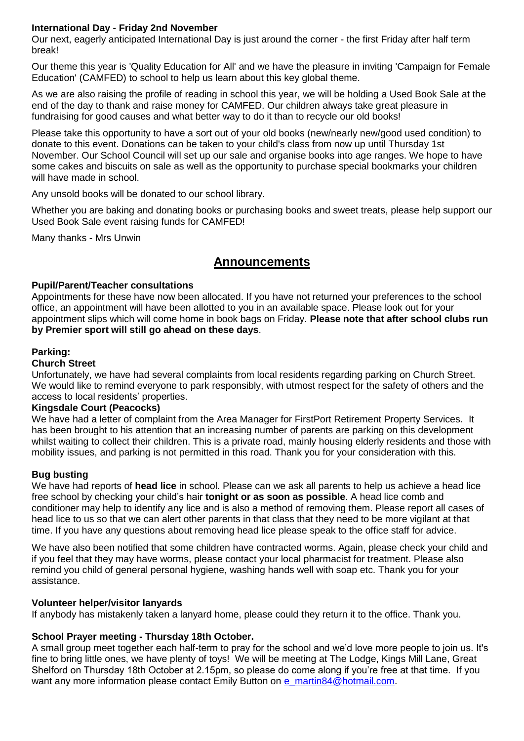## **International Day - Friday 2nd November**

Our next, eagerly anticipated International Day is just around the corner - the first Friday after half term break!

Our theme this year is 'Quality Education for All' and we have the pleasure in inviting 'Campaign for Female Education' (CAMFED) to school to help us learn about this key global theme.

As we are also raising the profile of reading in school this year, we will be holding a Used Book Sale at the end of the day to thank and raise money for CAMFED. Our children always take great pleasure in fundraising for good causes and what better way to do it than to recycle our old books!

Please take this opportunity to have a sort out of your old books (new/nearly new/good used condition) to donate to this event. Donations can be taken to your child's class from now up until Thursday 1st November. Our School Council will set up our sale and organise books into age ranges. We hope to have some cakes and biscuits on sale as well as the opportunity to purchase special bookmarks your children will have made in school.

Any unsold books will be donated to our school library.

Whether you are baking and donating books or purchasing books and sweet treats, please help support our Used Book Sale event raising funds for CAMFED!

Many thanks - Mrs Unwin

## **Announcements**

### **Pupil/Parent/Teacher consultations**

Appointments for these have now been allocated. If you have not returned your preferences to the school office, an appointment will have been allotted to you in an available space. Please look out for your appointment slips which will come home in book bags on Friday. **Please note that after school clubs run by Premier sport will still go ahead on these days**.

### **Parking:**

### **Church Street**

Unfortunately, we have had several complaints from local residents regarding parking on Church Street. We would like to remind everyone to park responsibly, with utmost respect for the safety of others and the access to local residents' properties.

### **Kingsdale Court (Peacocks)**

We have had a letter of complaint from the Area Manager for FirstPort Retirement Property Services. It has been brought to his attention that an increasing number of parents are parking on this development whilst waiting to collect their children. This is a private road, mainly housing elderly residents and those with mobility issues, and parking is not permitted in this road. Thank you for your consideration with this.

### **Bug busting**

We have had reports of **head lice** in school. Please can we ask all parents to help us achieve a head lice free school by checking your child's hair **tonight or as soon as possible**. A head lice comb and conditioner may help to identify any lice and is also a method of removing them. Please report all cases of head lice to us so that we can alert other parents in that class that they need to be more vigilant at that time. If you have any questions about removing head lice please speak to the office staff for advice.

We have also been notified that some children have contracted worms. Again, please check your child and if you feel that they may have worms, please contact your local pharmacist for treatment. Please also remind you child of general personal hygiene, washing hands well with soap etc. Thank you for your assistance.

### **Volunteer helper/visitor lanyards**

If anybody has mistakenly taken a lanyard home, please could they return it to the office. Thank you.

### **School Prayer meeting - Thursday 18th October.**

A small group meet together each half-term to pray for the school and we'd love more people to join us. It's fine to bring little ones, we have plenty of toys! We will be meeting at The Lodge, Kings Mill Lane, Great Shelford on Thursday 18th October at 2.15pm, so please do come along if you're free at that time. If you want any more information please contact Emily Button on [e\\_martin84@hotmail.com.](mailto:e_martin84@hotmail.com)